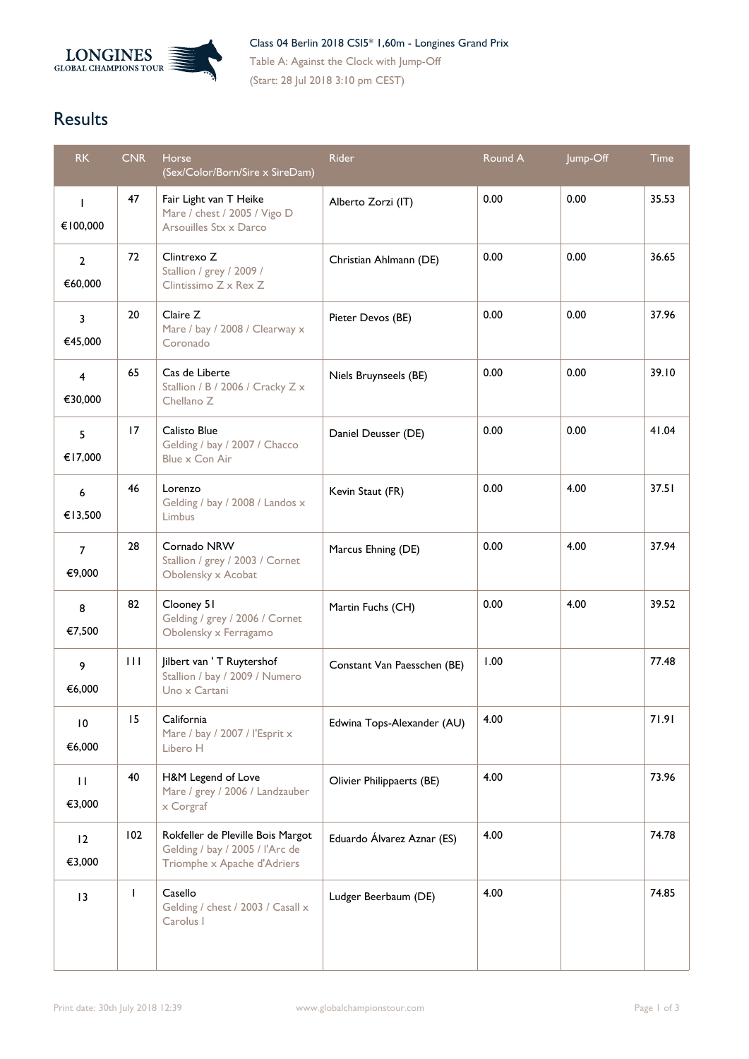

Table A: Against the Clock with Jump-Off (Start: 28 Jul 2018 3:10 pm CEST)

## **Results**

| RK                        | <b>CNR</b>   | <b>Horse</b><br>(Sex/Color/Born/Sire x SireDam)                                                     | Rider                       | Round A | Jump-Off | <b>Time</b> |
|---------------------------|--------------|-----------------------------------------------------------------------------------------------------|-----------------------------|---------|----------|-------------|
| $\mathbf{I}$<br>€100,000  | 47           | Fair Light van T Heike<br>Mare / chest / 2005 / Vigo D<br>Arsouilles Stx x Darco                    | Alberto Zorzi (IT)          | 0.00    | 0.00     | 35.53       |
| $\overline{2}$<br>€60,000 | 72           | Clintrexo Z<br>Stallion / grey / 2009 /<br>Clintissimo Z x Rex Z                                    | Christian Ahlmann (DE)      | 0.00    | 0.00     | 36.65       |
| 3<br>€45,000              | 20           | Claire Z<br>Mare / bay / 2008 / Clearway x<br>Coronado                                              | Pieter Devos (BE)           | 0.00    | 0.00     | 37.96       |
| $\overline{4}$<br>€30,000 | 65           | Cas de Liberte<br>Stallion / B / 2006 / Cracky Z x<br>Chellano Z                                    | Niels Bruynseels (BE)       | 0.00    | 0.00     | 39.10       |
| 5<br>€17,000              | 17           | Calisto Blue<br>Gelding / bay / 2007 / Chacco<br>Blue x Con Air                                     | Daniel Deusser (DE)         | 0.00    | 0.00     | 41.04       |
| 6<br>€13,500              | 46           | Lorenzo<br>Gelding / bay / 2008 / Landos x<br><b>Limbus</b>                                         | Kevin Staut (FR)            | 0.00    | 4.00     | 37.51       |
| $\overline{7}$<br>€9,000  | 28           | Cornado NRW<br>Stallion / grey / 2003 / Cornet<br>Obolensky x Acobat                                | Marcus Ehning (DE)          | 0.00    | 4.00     | 37.94       |
| 8<br>€7,500               | 82           | Clooney 51<br>Gelding / grey / 2006 / Cornet<br>Obolensky x Ferragamo                               | Martin Fuchs (CH)           | 0.00    | 4.00     | 39.52       |
| 9<br>€6,000               | $\perp$      | Jilbert van ' T Ruytershof<br>Stallion / bay / 2009 / Numero<br>Uno x Cartani                       | Constant Van Paesschen (BE) | 1.00    |          | 77.48       |
| $\overline{10}$<br>€6,000 | 15           | California<br>Mare / bay / 2007 / l'Esprit x<br>Libero H                                            | Edwina Tops-Alexander (AU)  | 4.00    |          | 71.91       |
| $\mathbf{H}$<br>€3,000    | 40           | H&M Legend of Love<br>Mare / grey / 2006 / Landzauber<br>x Corgraf                                  | Olivier Philippaerts (BE)   | 4.00    |          | 73.96       |
| 12<br>€3,000              | 102          | Rokfeller de Pleville Bois Margot<br>Gelding / bay / 2005 / l'Arc de<br>Triomphe x Apache d'Adriers | Eduardo Álvarez Aznar (ES)  | 4.00    |          | 74.78       |
| 13                        | $\mathbf{I}$ | Casello<br>Gelding / chest / 2003 / Casall x<br>Carolus I                                           | Ludger Beerbaum (DE)        | 4.00    |          | 74.85       |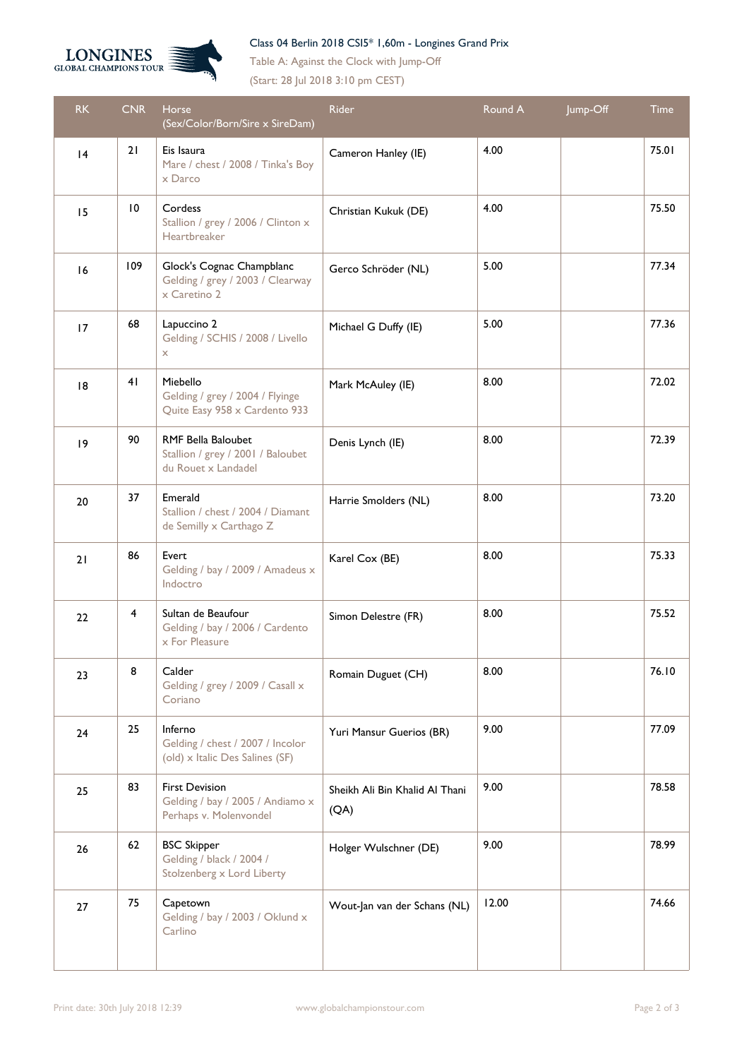

## Class 04 Berlin 2018 CSI5\* 1,60m - Longines Grand Prix

Table A: Against the Clock with Jump-Off

(Start: 28 Jul 2018 3:10 pm CEST)

| <b>RK</b>   | <b>CNR</b>     | Horse<br>(Sex/Color/Born/Sire x SireDam)                                              | <b>Rider</b>                           | Round A | Jump-Off | Time  |
|-------------|----------------|---------------------------------------------------------------------------------------|----------------------------------------|---------|----------|-------|
| 4           | 21             | Eis Isaura<br>Mare / chest / 2008 / Tinka's Boy<br>x Darco                            | Cameron Hanley (IE)                    | 4.00    |          | 75.01 |
| 15          | 10             | Cordess<br>Stallion / grey / 2006 / Clinton x<br>Heartbreaker                         | Christian Kukuk (DE)                   | 4.00    |          | 75.50 |
| 16          | 109            | Glock's Cognac Champblanc<br>Gelding / grey / 2003 / Clearway<br>x Caretino 2         | Gerco Schröder (NL)                    | 5.00    |          | 77.34 |
| 17          | 68             | Lapuccino 2<br>Gelding / SCHIS / 2008 / Livello<br>X                                  | Michael G Duffy (IE)                   | 5.00    |          | 77.36 |
| 8           | 4 <sub>1</sub> | Miebello<br>Gelding / grey / 2004 / Flyinge<br>Quite Easy 958 x Cardento 933          | Mark McAuley (IE)                      | 8.00    |          | 72.02 |
| $ 9\rangle$ | 90             | <b>RMF Bella Baloubet</b><br>Stallion / grey / 2001 / Baloubet<br>du Rouet x Landadel | Denis Lynch (IE)                       | 8.00    |          | 72.39 |
| 20          | 37             | Emerald<br>Stallion / chest / 2004 / Diamant<br>de Semilly x Carthago Z               | Harrie Smolders (NL)                   | 8.00    |          | 73.20 |
| 21          | 86             | Evert<br>Gelding / bay / 2009 / Amadeus x<br>Indoctro                                 | Karel Cox (BE)                         | 8.00    |          | 75.33 |
| 22          | 4              | Sultan de Beaufour<br>Gelding / bay / 2006 / Cardento<br>x For Pleasure               | Simon Delestre (FR)                    | 8.00    |          | 75.52 |
| 23          | 8              | Calder<br>Gelding / grey / 2009 / Casall x<br>Coriano                                 | Romain Duguet (CH)                     | 8.00    |          | 76.10 |
| 24          | 25             | Inferno<br>Gelding / chest / 2007 / Incolor<br>(old) x Italic Des Salines (SF)        | Yuri Mansur Guerios (BR)               | 9.00    |          | 77.09 |
| 25          | 83             | <b>First Devision</b><br>Gelding / bay / 2005 / Andiamo x<br>Perhaps v. Molenvondel   | Sheikh Ali Bin Khalid Al Thani<br>(QA) | 9.00    |          | 78.58 |
| 26          | 62             | <b>BSC Skipper</b><br>Gelding / black / 2004 /<br>Stolzenberg x Lord Liberty          | Holger Wulschner (DE)                  | 9.00    |          | 78.99 |
| 27          | 75             | Capetown<br>Gelding / bay / 2003 / Oklund x<br>Carlino                                | Wout-Jan van der Schans (NL)           | 12.00   |          | 74.66 |